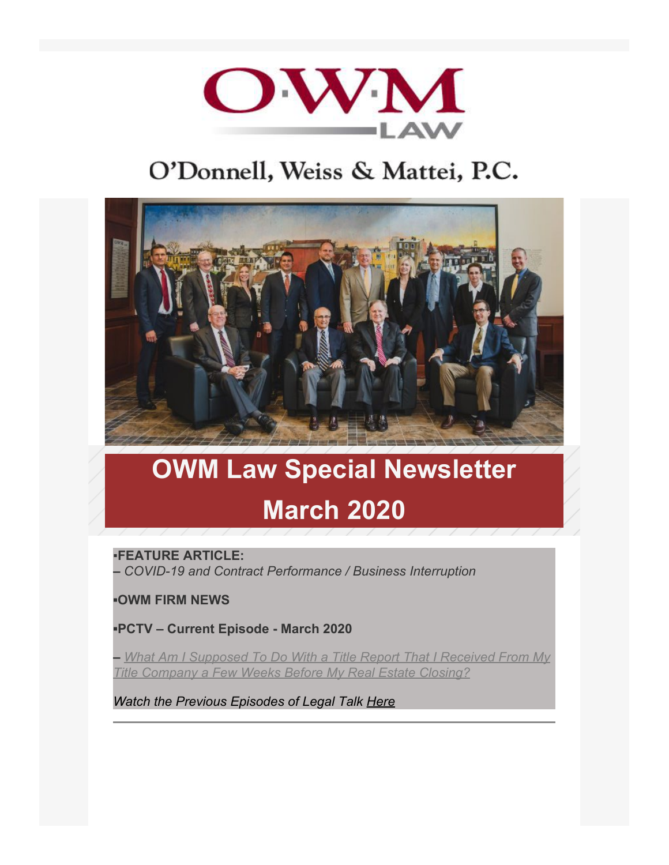

# O'Donnell, Weiss & Mattei, P.C.



# **OWM Law Special Newsletter March 2020**

▪**FEATURE ARTICLE:**

**–** *COVID-19 and Contract Performance / Business Interruption*

**▪OWM FIRM NEWS**

**▪PCTV – Current Episode - March 2020**

**–** *[What Am I Supposed To Do With a Title Report That I Received From My](https://www.youtube.com/watch?v=YMGbSlShMco&t=1s) [Title Company a Few Weeks Before My Real Estate Closing?](https://www.youtube.com/watch?v=YMGbSlShMco&t=1s)*

*Watch the Previous Episodes of Legal Talk [Here](https://www.owmlaw.com/resources/legal-talk/)*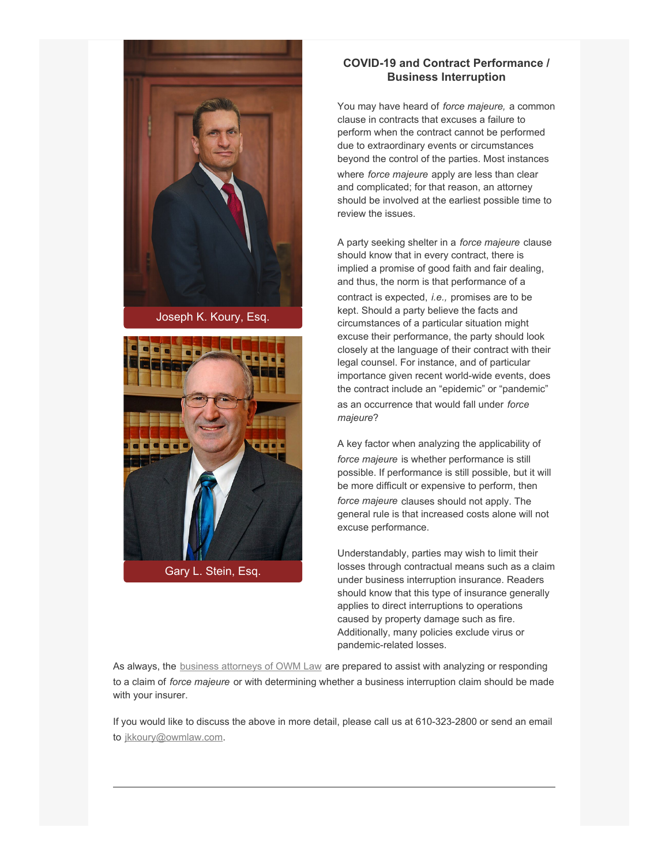

[Joseph K. Koury, Esq.](https://www.owmlaw.com/attorney/koury-joseph-k-ll-m/)



[Gary L. Stein, Esq.](https://www.owmlaw.com/attorney/stein-gary-l/)

#### **COVID-19 and Contract Performance / Business Interruption**

You may have heard of *force majeure,* a common clause in contracts that excuses a failure to perform when the contract cannot be performed due to extraordinary events or circumstances beyond the control of the parties. Most instances where *force majeure* apply are less than clear and complicated; for that reason, an attorney should be involved at the earliest possible time to review the issues.

A party seeking shelter in a *force majeure* clause should know that in every contract, there is implied a promise of good faith and fair dealing, and thus, the norm is that performance of a contract is expected, *i.e.,* promises are to be kept. Should a party believe the facts and circumstances of a particular situation might excuse their performance, the party should look closely at the language of their contract with their legal counsel. For instance, and of particular importance given recent world-wide events, does the contract include an "epidemic" or "pandemic" as an occurrence that would fall under *force majeure*?

A key factor when analyzing the applicability of *force majeure* is whether performance is still possible. If performance is still possible, but it will be more difficult or expensive to perform, then *force majeure* clauses should not apply. The general rule is that increased costs alone will not excuse performance.

Understandably, parties may wish to limit their losses through contractual means such as a claim under business interruption insurance. Readers should know that this type of insurance generally applies to direct interruptions to operations caused by property damage such as fire. Additionally, many policies exclude virus or pandemic-related losses.

As always, the **[business attorneys of OWM Law](https://www.owmlaw.com/business-lawyer-business-finance/business-law-business-planning/)** are prepared to assist with analyzing or responding to a claim of *force majeure* or with determining whether a business interruption claim should be made with your insurer.

If you would like to discuss the above in more detail, please call us at 610-323-2800 or send an email to [jkkoury@owmlaw.com](mailto:jkkoury@owmlaw.com?subject=COVID-19%20-%20Contract%20Performance%2FBusiness%20Interruption).